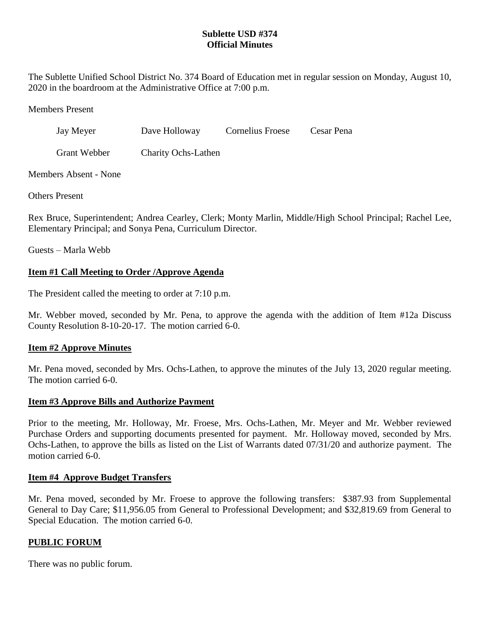# **Sublette USD #374 Official Minutes**

The Sublette Unified School District No. 374 Board of Education met in regular session on Monday, August 10, 2020 in the boardroom at the Administrative Office at 7:00 p.m.

Members Present

| Jay Meyer           | Dave Holloway       | <b>Cornelius Froese</b> | Cesar Pena |
|---------------------|---------------------|-------------------------|------------|
| <b>Grant Webber</b> | Charity Ochs-Lathen |                         |            |

Members Absent - None

Others Present

Rex Bruce, Superintendent; Andrea Cearley, Clerk; Monty Marlin, Middle/High School Principal; Rachel Lee, Elementary Principal; and Sonya Pena, Curriculum Director.

Guests – Marla Webb

# **Item #1 Call Meeting to Order /Approve Agenda**

The President called the meeting to order at 7:10 p.m.

Mr. Webber moved, seconded by Mr. Pena, to approve the agenda with the addition of Item #12a Discuss County Resolution 8-10-20-17. The motion carried 6-0.

# **Item #2 Approve Minutes**

Mr. Pena moved, seconded by Mrs. Ochs-Lathen, to approve the minutes of the July 13, 2020 regular meeting. The motion carried 6-0.

### **Item #3 Approve Bills and Authorize Payment**

Prior to the meeting, Mr. Holloway, Mr. Froese, Mrs. Ochs-Lathen, Mr. Meyer and Mr. Webber reviewed Purchase Orders and supporting documents presented for payment. Mr. Holloway moved, seconded by Mrs. Ochs-Lathen, to approve the bills as listed on the List of Warrants dated 07/31/20 and authorize payment. The motion carried 6-0.

### **Item #4 Approve Budget Transfers**

Mr. Pena moved, seconded by Mr. Froese to approve the following transfers: \$387.93 from Supplemental General to Day Care; \$11,956.05 from General to Professional Development; and \$32,819.69 from General to Special Education. The motion carried 6-0.

### **PUBLIC FORUM**

There was no public forum.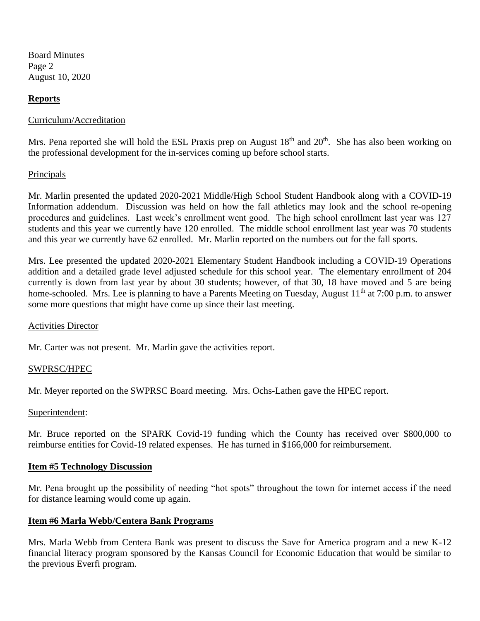Board Minutes Page 2 August 10, 2020

## **Reports**

### Curriculum/Accreditation

Mrs. Pena reported she will hold the ESL Praxis prep on August  $18<sup>th</sup>$  and  $20<sup>th</sup>$ . She has also been working on the professional development for the in-services coming up before school starts.

### **Principals**

Mr. Marlin presented the updated 2020-2021 Middle/High School Student Handbook along with a COVID-19 Information addendum. Discussion was held on how the fall athletics may look and the school re-opening procedures and guidelines. Last week's enrollment went good. The high school enrollment last year was 127 students and this year we currently have 120 enrolled. The middle school enrollment last year was 70 students and this year we currently have 62 enrolled. Mr. Marlin reported on the numbers out for the fall sports.

Mrs. Lee presented the updated 2020-2021 Elementary Student Handbook including a COVID-19 Operations addition and a detailed grade level adjusted schedule for this school year. The elementary enrollment of 204 currently is down from last year by about 30 students; however, of that 30, 18 have moved and 5 are being home-schooled. Mrs. Lee is planning to have a Parents Meeting on Tuesday, August 11<sup>th</sup> at 7:00 p.m. to answer some more questions that might have come up since their last meeting.

### Activities Director

Mr. Carter was not present. Mr. Marlin gave the activities report.

### SWPRSC/HPEC

Mr. Meyer reported on the SWPRSC Board meeting. Mrs. Ochs-Lathen gave the HPEC report.

#### Superintendent:

Mr. Bruce reported on the SPARK Covid-19 funding which the County has received over \$800,000 to reimburse entities for Covid-19 related expenses. He has turned in \$166,000 for reimbursement.

#### **Item #5 Technology Discussion**

Mr. Pena brought up the possibility of needing "hot spots" throughout the town for internet access if the need for distance learning would come up again.

### **Item #6 Marla Webb/Centera Bank Programs**

Mrs. Marla Webb from Centera Bank was present to discuss the Save for America program and a new K-12 financial literacy program sponsored by the Kansas Council for Economic Education that would be similar to the previous Everfi program.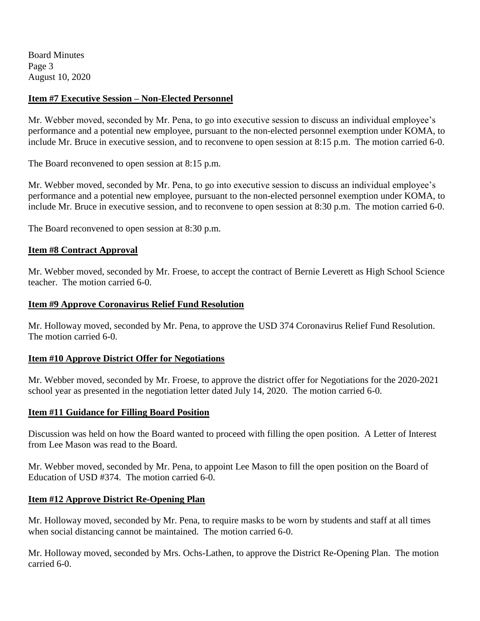Board Minutes Page 3 August 10, 2020

## **Item #7 Executive Session – Non-Elected Personnel**

Mr. Webber moved, seconded by Mr. Pena, to go into executive session to discuss an individual employee's performance and a potential new employee, pursuant to the non-elected personnel exemption under KOMA, to include Mr. Bruce in executive session, and to reconvene to open session at 8:15 p.m. The motion carried 6-0.

The Board reconvened to open session at 8:15 p.m.

Mr. Webber moved, seconded by Mr. Pena, to go into executive session to discuss an individual employee's performance and a potential new employee, pursuant to the non-elected personnel exemption under KOMA, to include Mr. Bruce in executive session, and to reconvene to open session at 8:30 p.m. The motion carried 6-0.

The Board reconvened to open session at 8:30 p.m.

#### **Item #8 Contract Approval**

Mr. Webber moved, seconded by Mr. Froese, to accept the contract of Bernie Leverett as High School Science teacher. The motion carried 6-0.

#### **Item #9 Approve Coronavirus Relief Fund Resolution**

Mr. Holloway moved, seconded by Mr. Pena, to approve the USD 374 Coronavirus Relief Fund Resolution. The motion carried 6-0.

### **Item #10 Approve District Offer for Negotiations**

Mr. Webber moved, seconded by Mr. Froese, to approve the district offer for Negotiations for the 2020-2021 school year as presented in the negotiation letter dated July 14, 2020. The motion carried 6-0.

### **Item #11 Guidance for Filling Board Position**

Discussion was held on how the Board wanted to proceed with filling the open position. A Letter of Interest from Lee Mason was read to the Board.

Mr. Webber moved, seconded by Mr. Pena, to appoint Lee Mason to fill the open position on the Board of Education of USD #374. The motion carried 6-0.

### **Item #12 Approve District Re-Opening Plan**

Mr. Holloway moved, seconded by Mr. Pena, to require masks to be worn by students and staff at all times when social distancing cannot be maintained. The motion carried 6-0.

Mr. Holloway moved, seconded by Mrs. Ochs-Lathen, to approve the District Re-Opening Plan. The motion carried 6-0.